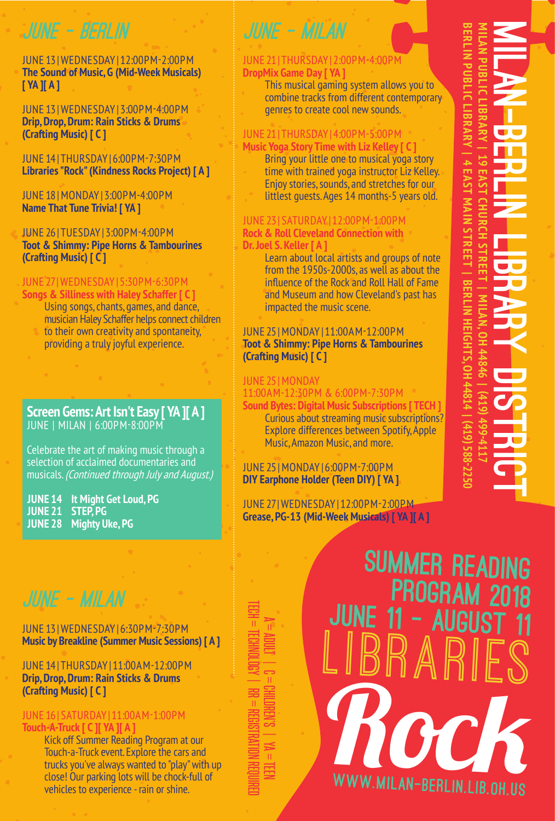## JUNE - BERLIN

JUNE 13 | WEDNESDAY | 12:00PM -2:00PM **The Sound of Music, G (Mid-Week Musicals) [ YA ][ A ]**

JUNE 13 | WEDNESDAY | 3:00PM -4:00PM **Drip, Drop, Drum: Rain Sticks & Drums (Crafting Music) [ C ]**

JUNE 14 | THURSDAY | 6:00PM -7:30PM **Libraries "Rock" (Kindness Rocks Project) [ A ]**

JUNE 18 | MONDAY | 3:00PM -4:00PM **Name That Tune Trivia! [ YA ]**

JUNE 26 | TUESDAY | 3:00PM -4:00PM **Toot & Shimmy: Pipe Horns & Tambourines (Crafting Music) [ C ]**

### JUNE 27 | WEDNESDAY | 5:30PM -6:30PM

**Songs & Silliness with Haley Schaffer [ C ]** Using songs, chants, games, and dance, musician Haley Schaffer helps connect children to their own creativity and spontaneity, providing a truly joyful experience.

### **Screen Gems: Art Isn't Easy [ YA ][ A ]** JUNE | MILAN | 6:00PM -8:00PM

Celebrate the art of making music through a selection of acclaimed documentaries and musicals. (Continued through July and August.)

**JUNE 14 It Might Get Loud, PG JUNE 21 STEP, PG JUNE 28 Mighty Uke, PG**

### JUNE 13 | WEDNESDAY | 6:30PM -7:30PM **Music by Breakline (Summer Music Sessions) [ A ]**

JUNE 14 | THURSDAY | 11:00AM -12:00PM **Drip, Drop, Drum: Rain Sticks & Drums (Crafting Music) [ C ]**

### JUNE 16 | SATURDAY | 11:00AM -1:00PM **Touch-A-Truck [ C ][ YA ][ A ]**

Kick off Summer Reading Program at our Touch-a-Truck event. Explore the cars and trucks you've always wanted to "play" with up close! Our parking lots will be chock-full of vehicles to experience - rain or shine.

TECH = TECHNOLOGY | RR = REGISTRATION REQUIRED A = ADULT | C = CHILDREN'S | YA = TEEN  $\label{eq:1} \begin{array}{c} \Pi \end{array}$ 

## JUNE - MILAN

### JUNE 21 | THURSDAY | 2:00PM -4:00PM **DropMix Game Day [ YA ]**

This musical gaming system allows you to combine tracks from different contemporary genres to create cool new sounds.

### JUNE 21 | THURSDAY | 4:00PM -5:00PM **Music Yoga Story Time with Liz Kelley [ C ]**

Bring your little one to musical yoga story time with trained yoga instructor Liz Kelley. Enjoy stories, sounds, and stretches for our littlest guests. Ages 14 months-5 years old.

### JUNE 23 | SATURDAY | 12:00PM -1:00PM **Rock & Roll Cleveland Connection with Dr. Joel S. Keller [ A ]**

Learn about local artists and groups of note from the 1950s-2000s, as well as about the influence of the Rock and Roll Hall of Fame and Museum and how Cleveland's past has impacted the music scene.

### JUNE 25 | MONDAY | 11:00AM -12:00PM **Toot & Shimmy: Pipe Horns & Tambourines (Crafting Music) [ C ]**

### **IHNE 25 | MONDAY**

## 11:00AM -12:30PM & 6:00PM -7:30PM

**Sound Bytes: Digital Music Subscriptions [ TECH ]** Curious about streaming music subscriptions? Explore differences between Spotify, Apple Music, Amazon Music, and more.

### JUNE 25 | MONDAY | 6:00PM -7:00PM **DIY Earphone Holder (Teen DIY) [ YA ]**

JUNE 27 | WEDNESDAY | 12:00PM -2:00PM **Grease, PG-13 (Mid-Week Musicals) [ YA ][ A ]**

LIBRARI Rock www.milan-berlin.lib.oh.us June 11 - August 11 JUNE - MILAN